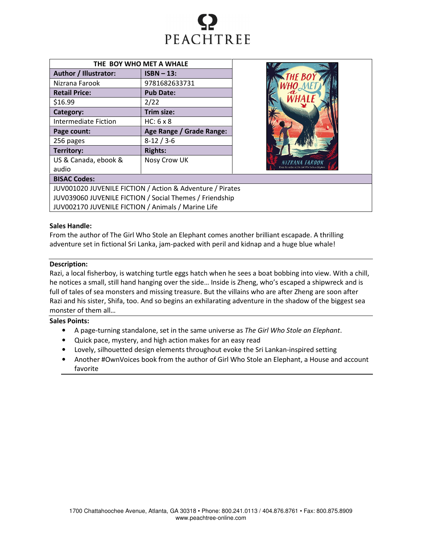

| THE BOY WHO MET A WHALE       |                          |  |  |  |
|-------------------------------|--------------------------|--|--|--|
| Author / Illustrator:         | $ISBN - 13$ :            |  |  |  |
| Nizrana Farook                | 9781682633731            |  |  |  |
| <b>Retail Price:</b>          | <b>Pub Date:</b>         |  |  |  |
| \$16.99                       | 2/22                     |  |  |  |
| Category:                     | Trim size:               |  |  |  |
| <b>Intermediate Fiction</b>   | $HC: 6 \times 8$         |  |  |  |
| Page count:                   | Age Range / Grade Range: |  |  |  |
| 256 pages                     | $8-12/3-6$               |  |  |  |
| Territory:                    | <b>Rights:</b>           |  |  |  |
| US & Canada, ebook &<br>audio | Nosy Crow UK             |  |  |  |



# BISAC Codes:

JUV001020 JUVENILE FICTION / Action & Adventure / Pirates JUV039060 JUVENILE FICTION / Social Themes / Friendship JUV002170 JUVENILE FICTION / Animals / Marine Life

# Sales Handle:

From the author of The Girl Who Stole an Elephant comes another brilliant escapade. A thrilling adventure set in fictional Sri Lanka, jam-packed with peril and kidnap and a huge blue whale!

#### Description:

Razi, a local fisherboy, is watching turtle eggs hatch when he sees a boat bobbing into view. With a chill, he notices a small, still hand hanging over the side… Inside is Zheng, who's escaped a shipwreck and is full of tales of sea monsters and missing treasure. But the villains who are after Zheng are soon after Razi and his sister, Shifa, too. And so begins an exhilarating adventure in the shadow of the biggest sea monster of them all…

## Sales Points:

- A page-turning standalone, set in the same universe as The Girl Who Stole an Elephant.
- Quick pace, mystery, and high action makes for an easy read
- Lovely, silhouetted design elements throughout evoke the Sri Lankan-inspired setting
- Another #OwnVoices book from the author of Girl Who Stole an Elephant, a House and account favorite